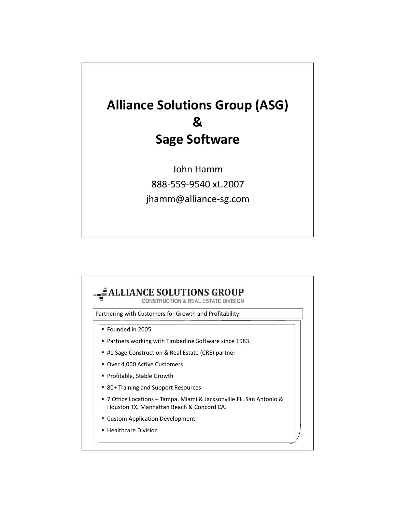

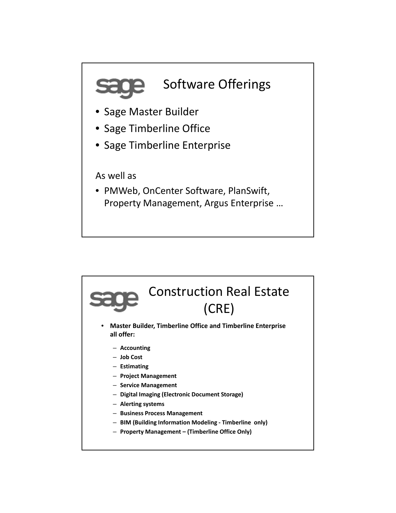

As well as

• PMWeb, OnCenter Software, PlanSwift, Property Management, Argus Enterprise …

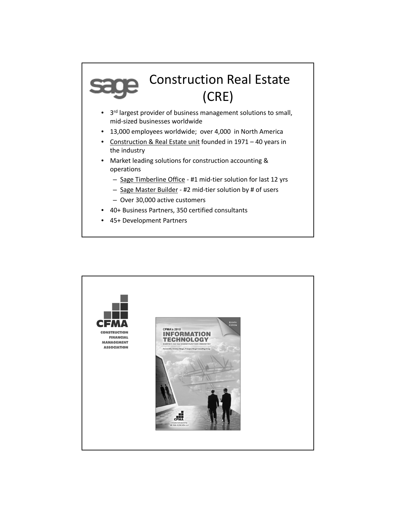## Construction Real Estate (CRE)

- 3rd largest provider of business management solutions to small, mid‐sized businesses worldwide
- 13,000 employees worldwide; over 4,000 in North America
- Construction & Real Estate unit founded in 1971 40 years in the industry
- Market leading solutions for construction accounting & operations
	- Sage Timberline Office ‐ #1 mid‐tier solution for last 12 yrs
	- Sage Master Builder ‐ #2 mid‐tier solution by # of users
	- Over 30,000 active customers
- 40+ Business Partners, 350 certified consultants
- 45+ Development Partners

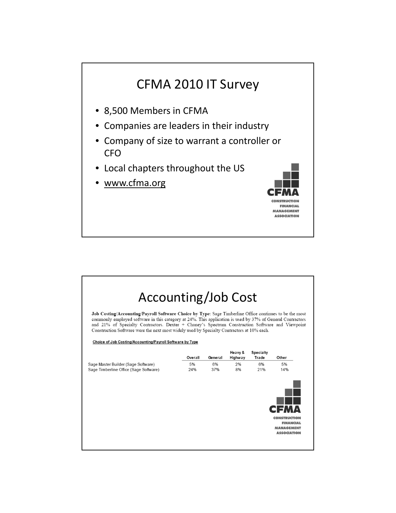

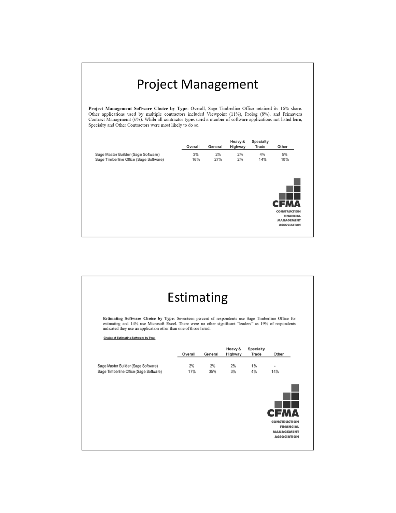## Project Management

**Project Management Software Choice by Type:** Overall, Sage Timberline Office retained its 16% share.<br>Other applications used by multiple contractors included Viewpoint (11%), Prolog (8%), and Primavera<br>Contract Management Specialty and Other Contractors were most likely to do so.

|                                        |     | <b>General</b> | Highway | <b>Trade</b> | Other               |
|----------------------------------------|-----|----------------|---------|--------------|---------------------|
| Sage Master Builder (Sage Software)    | 3%  | $2\%$          | 2%      | $4\%$        | 5%                  |
| Sage Timberline Office (Sage Software) | 16% | 27%            | 2%      | 14%          | 10%                 |
|                                        |     |                |         |              |                     |
|                                        |     |                |         |              |                     |
|                                        |     |                |         |              |                     |
|                                        |     |                |         |              | <b>CFMA</b>         |
|                                        |     |                |         |              | <b>CONSTRUCTION</b> |
|                                        |     |                |         |              |                     |
|                                        |     |                |         |              | <b>FINANCIAL</b>    |

| Estimating                                                                                                                                                                                                                                                                          |           |           |                    |                           |                                         |  |  |  |  |
|-------------------------------------------------------------------------------------------------------------------------------------------------------------------------------------------------------------------------------------------------------------------------------------|-----------|-----------|--------------------|---------------------------|-----------------------------------------|--|--|--|--|
|                                                                                                                                                                                                                                                                                     |           |           |                    |                           |                                         |  |  |  |  |
| Estimating Software Choice by Type: Seventeen percent of respondents use Sage Timberline Office for<br>estimating and 14% use Microsoft Excel. There were no other significant "leaders" as 19% of respondents<br>indicated they use an application other than one of those listed. |           |           |                    |                           |                                         |  |  |  |  |
| Choice of Estimating Software by Type                                                                                                                                                                                                                                               |           |           |                    |                           |                                         |  |  |  |  |
|                                                                                                                                                                                                                                                                                     | Overall   | General   | Heavy &<br>Highway | <b>Specialty</b><br>Trade | Other                                   |  |  |  |  |
| Sage Master Builder (Sage Software)<br>Sage Timberline Office (Sage Software)                                                                                                                                                                                                       | 2%<br>17% | 2%<br>35% | 2%<br>3%           | 1%<br>4%                  | 14%                                     |  |  |  |  |
|                                                                                                                                                                                                                                                                                     |           |           |                    |                           |                                         |  |  |  |  |
|                                                                                                                                                                                                                                                                                     |           |           |                    |                           |                                         |  |  |  |  |
|                                                                                                                                                                                                                                                                                     |           |           |                    |                           | EМA                                     |  |  |  |  |
|                                                                                                                                                                                                                                                                                     |           |           |                    |                           | <b>CONSTRUCTION</b><br><b>FINANCIAL</b> |  |  |  |  |
|                                                                                                                                                                                                                                                                                     |           |           |                    |                           | <b>MANAGEMENT</b>                       |  |  |  |  |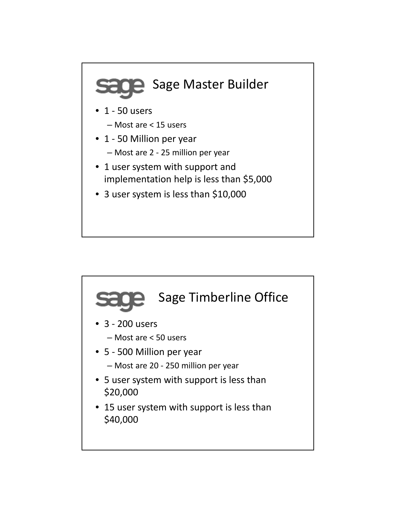

- 1 user system with support and
- implementation help is less than \$5,000
- 3 user system is less than \$10,000

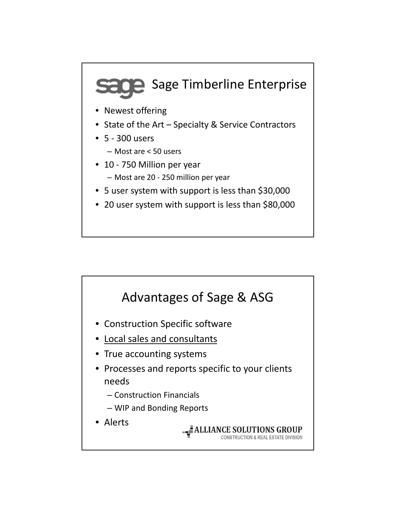## **SOP** Sage Timberline Enterprise

- Newest offering
- State of the Art Specialty & Service Contractors
- 5 ‐ 300 users
	- Most are < 50 users
- 10 750 Million per year
	- Most are 20 ‐ 250 million per year
- 5 user system with support is less than \$30,000
- 20 user system with support is less than \$80,000

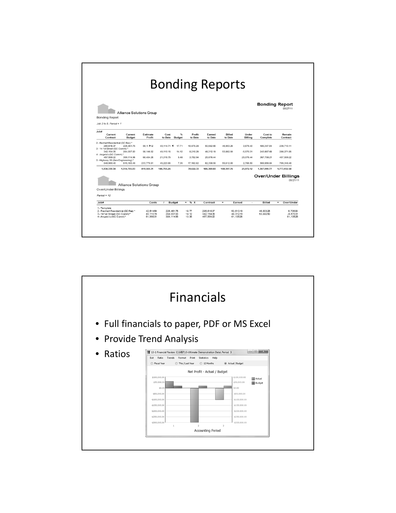| <b>Bonding Reports</b>                                                                                   |                          |                                     |                 |                                        |                         |                                       |                          |                                     |                        |                                        |
|----------------------------------------------------------------------------------------------------------|--------------------------|-------------------------------------|-----------------|----------------------------------------|-------------------------|---------------------------------------|--------------------------|-------------------------------------|------------------------|----------------------------------------|
| <b>Bonding Report</b>                                                                                    |                          | <b>Alliance Solutions Group</b>     |                 |                                        |                         |                                       |                          |                                     |                        | <b>Bonding Report</b><br>05/27/11      |
| Job 2 to 5. Period = $1$<br>Job#<br>Current<br>Contract                                                  | Current<br><b>Budget</b> | Estimate<br>Profit                  | Cost<br>to Date | %<br><b>Budget</b>                     | Profit<br>to Date       | Earned<br>to Date                     | <b>Billed</b><br>to Date | Under<br>Billing                    | Cost to<br>Complete    | Remain<br>Contract                     |
| 2 - Rechert Residential (GC Res) *<br>285.616.37<br>3 - 14 1st Street (GC Comm) *                        | 226.461.75               | 59.15 ▶ 32                          | 40.114.71 4     | 17.71                                  | 10,476.28               | 50,582.66                             | 46,903.26                | 3.679.40                            | 186,347.04             | 238,713.11                             |
| 342, 154.35                                                                                              | 284,007.83               | 58,146.52                           | 40,110.15       | 14.12                                  | 8,210.29                | 48,312.19                             | 53,882.50                | $-5.570.31$                         | 243,897.68             | 288,271.85                             |
| 4 - Angelo's (GC Comm) *<br>457.599.22                                                                   | 389.114.96               | 68.484.26                           | 21.316.75       | 5.48                                   | 3.752.94                | 25.076.44                             |                          | 25.076.44                           | 367.798.21             | 457.599.22                             |
| 5 - Highway 39 (Gen Engineering) *<br>848.960.40                                                         | 615,180.49               | 233,779.91                          | 45,223.65       | 7.35                                   | 17.182.82               | 62.398.59                             | 59.612.00                | 2.786.59                            | 569.956.84             | 789,348.40                             |
| 1,934,330.34                                                                                             | 1,514,765.03             | 419,565.31                          | 146,765.26      |                                        | 39,622.33               | 186,369.88                            | 160,397.76               | 25,972.12                           | 1,367,999.77           | 1,773,932.58                           |
| Over/Under Billings<br>$Paind = 12$                                                                      |                          | Alliance Solutions Group            |                 |                                        |                         |                                       |                          |                                     |                        | <b>Over/Under Billings</b><br>05/27/11 |
| Job#                                                                                                     |                          | Costs                               | $\mathbf{r}$    | Budget                                 | % X<br>$=$              | Contract                              | $=$                      | Earned<br>$\overline{\phantom{a}}$  | Billed                 | Over/Under<br>$\equiv$                 |
| 1 - Template<br>2- Rechert Residential (GC Res) *<br>3-141st Street (GC Comm)*<br>4- Angelo's (GC Comm)* |                          | 42.514.54<br>40.110.15<br>51.998.31 |                 | 226.461.75<br>284.007.83<br>389.114.96 | 18.77<br>14.12<br>13.36 | 285.61637<br>342.154.35<br>457.599.22 |                          | 53.610.19<br>48.312.19<br>61,135.26 | 46.903.26<br>53.882.50 | 6.706.93<br>$-5.570.31$<br>61.135.26   |